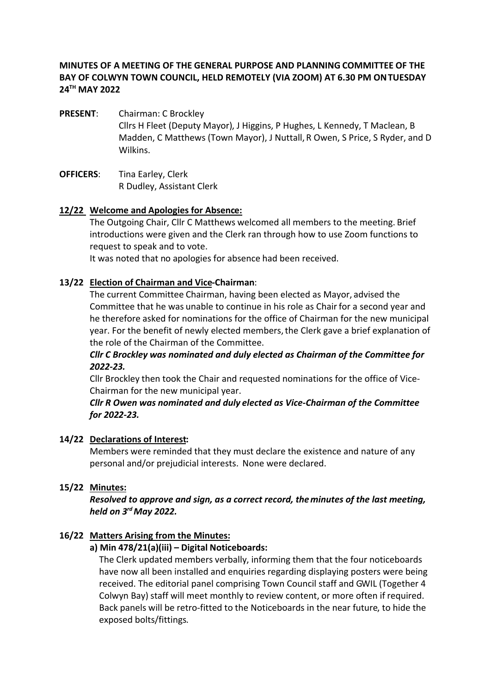## **MINUTES OF A MEETING OF THE GENERAL PURPOSE AND PLANNING COMMITTEE OF THE BAY OF COLWYN TOWN COUNCIL, HELD REMOTELY (VIA ZOOM) AT 6.30 PM ON TUESDAY 24TH MAY 2022**

- PRESENT: Chairman: C Brockley Cllrs H Fleet (Deputy Mayor), J Higgins, P Hughes, L Kennedy, T Maclean, B Madden, C Matthews (Town Mayor), J Nuttall, R Owen, S Price, S Ryder, and D Wilkins.
- **OFFICERS**: Tina Earley, Clerk R Dudley, Assistant Clerk

#### **12/22 Welcome and Apologies for Absence:**

The Outgoing Chair, Cllr C Matthews welcomed all members to the meeting. Brief introductions were given and the Clerk ran through how to use Zoom functions to request to speak and to vote.

It was noted that no apologies for absence had been received.

#### **13/22 Election of Chairman and Vice-Chairman**:

The current Committee Chairman, having been elected as Mayor, advised the Committee that he was unable to continue in his role as Chair for a second year and he therefore asked for nominations for the office of Chairman for the new municipal year. For the benefit of newly elected members, the Clerk gave a brief explanation of the role of the Chairman of the Committee.

## *Cllr C Brockley was nominated and duly elected as Chairman of the Committee for 2022-23.*

Cllr Brockley then took the Chair and requested nominations for the office of Vice-Chairman for the new municipal year.

#### *Cllr R Owen was nominated and duly elected as Vice-Chairman of the Committee for 2022-23.*

#### **14/22 Declarations of Interest:**

Members were reminded that they must declare the existence and nature of any personal and/or prejudicial interests. None were declared.

## **15/22 Minutes:**

*Resolved to approve and sign, as a correct record, the minutes of the last meeting, held on 3rd May 2022.*

## **16/22 Matters Arising from the Minutes:**

#### **a) Min 478/21(a)(iii) – Digital Noticeboards:**

The Clerk updated members verbally, informing them that the four noticeboards have now all been installed and enquiries regarding displaying posters were being received. The editorial panel comprising Town Council staff and GWIL (Together 4 Colwyn Bay) staff will meet monthly to review content, or more often if required. Back panels will be retro-fitted to the Noticeboards in the near future, to hide the exposed bolts/fittings.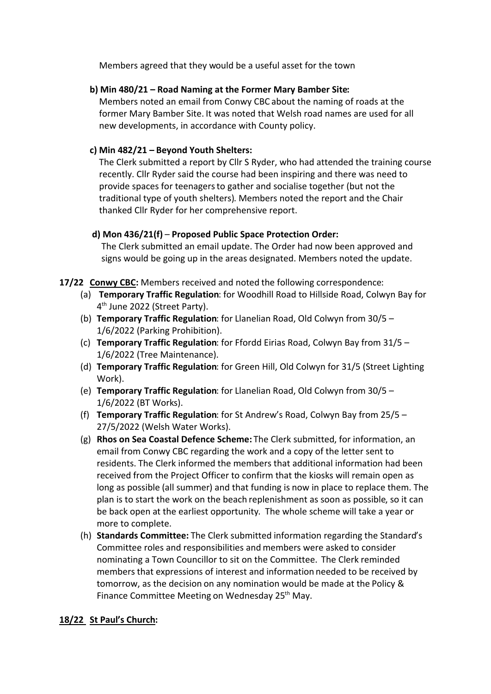Members agreed that they would be a useful asset for the town

## **b) Min 480/21 – Road Naming at the Former Mary Bamber Site:**

Members noted an email from Conwy CBC about the naming of roads at the former Mary Bamber Site. It was noted that Welsh road names are used for all new developments, in accordance with County policy.

# **c) Min 482/21 – Beyond Youth Shelters:**

The Clerk submitted a report by Cllr S Ryder, who had attended the training course recently. Cllr Ryder said the course had been inspiring and there was need to provide spaces for teenagers to gather and socialise together (but not the traditional type of youth shelters). Members noted the report and the Chair thanked Cllr Ryder for her comprehensive report.

## **d) Mon 436/21(f)** – **Proposed Public Space Protection Order:**

The Clerk submitted an email update. The Order had now been approved and signs would be going up in the areas designated. Members noted the update.

- **17/22 Conwy CBC:** Members received and noted the following correspondence:
	- (a) **Temporary Traffic Regulation**: for Woodhill Road to Hillside Road, Colwyn Bay for 4<sup>th</sup> June 2022 (Street Party).
	- (b) **Temporary Traffic Regulation**: for Llanelian Road, Old Colwyn from 30/5 1/6/2022 (Parking Prohibition).
	- (c) **Temporary Traffic Regulation**: for Ffordd Eirias Road, Colwyn Bay from 31/5 1/6/2022 (Tree Maintenance).
	- (d) **Temporary Traffic Regulation**: for Green Hill, Old Colwyn for 31/5 (Street Lighting Work).
	- (e) **Temporary Traffic Regulation**: for Llanelian Road, Old Colwyn from 30/5 1/6/2022 (BT Works).
	- (f) **Temporary Traffic Regulation**: for St Andrew's Road, Colwyn Bay from 25/5 27/5/2022 (Welsh Water Works).
	- (g) **Rhos on Sea Coastal Defence Scheme:** The Clerk submitted, for information, an email from Conwy CBC regarding the work and a copy of the letter sent to residents. The Clerk informed the members that additional information had been received from the Project Officer to confirm that the kiosks will remain open as long as possible (all summer) and that funding is now in place to replace them. The plan is to start the work on the beach replenishment as soon as possible, so it can be back open at the earliest opportunity. The whole scheme will take a year or more to complete.
	- (h) **Standards Committee:** The Clerk submitted information regarding the Standard's Committee roles and responsibilities and members were asked to consider nominating a Town Councillor to sit on the Committee. The Clerk reminded members that expressions of interest and information needed to be received by tomorrow, as the decision on any nomination would be made at the Policy & Finance Committee Meeting on Wednesday 25<sup>th</sup> May.

# **18/22 St Paul's Church:**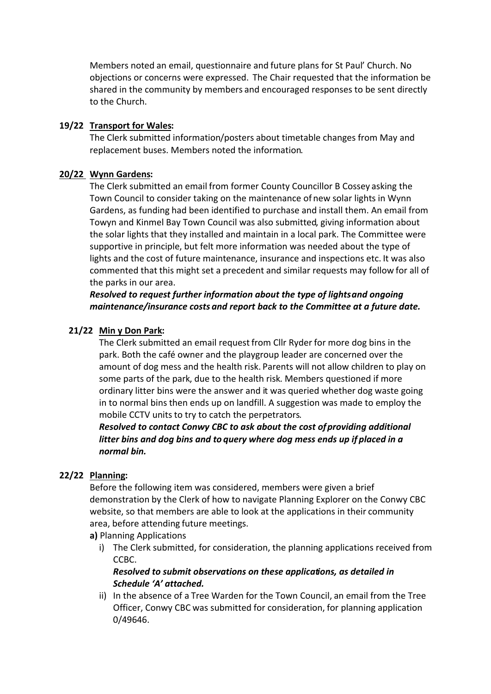Members noted an email, questionnaire and future plans for St Paul' Church. No objections or concerns were expressed. The Chair requested that the information be shared in the community by members and encouraged responses to be sent directly to the Church.

#### **19/22 Transport for Wales:**

The Clerk submitted information/posters about timetable changes from May and replacement buses. Members noted the information.

#### **20/22 Wynn Gardens:**

The Clerk submitted an email from former County Councillor B Cossey asking the Town Council to consider taking on the maintenance of new solar lights in Wynn Gardens, as funding had been identified to purchase and install them. An email from Towyn and Kinmel Bay Town Council was also submitted, giving information about the solar lights that they installed and maintain in a local park. The Committee were supportive in principle, but felt more information was needed about the type of lights and the cost of future maintenance, insurance and inspections etc. It was also commented that this might set a precedent and similar requests may follow for all of the parks in our area.

*Resolved to request further information about the type of lights and ongoing maintenance/insurance costs and report back to the Committee at a future date.* 

## **21/22 Min y Don Park:**

The Clerk submitted an email request from Cllr Ryder for more dog bins in the park. Both the café owner and the playgroup leader are concerned over the amount of dog mess and the health risk. Parents will not allow children to play on some parts of the park, due to the health risk. Members questioned if more ordinary litter bins were the answer and it was queried whether dog waste going in to normal bins then ends up on landfill. A suggestion was made to employ the mobile CCTV units to try to catch the perpetrators.

*Resolved to contact Conwy CBC to ask about the cost of providing additional litter bins and dog bins and to query where dog mess ends up if placed in a normal bin.*

## **22/22 Planning:**

Before the following item was considered, members were given a brief demonstration by the Clerk of how to navigate Planning Explorer on the Conwy CBC website, so that members are able to look at the applications in their community area, before attending future meetings.

#### **a)** Planning Applications

i) The Clerk submitted, for consideration, the planning applications received from CCBC.

## *Resolved to submit observations on these applications, as detailed in Schedule 'A' attached.*

ii) In the absence of a Tree Warden for the Town Council, an email from the Tree Officer, Conwy CBC was submitted for consideration, for planning application 0/49646.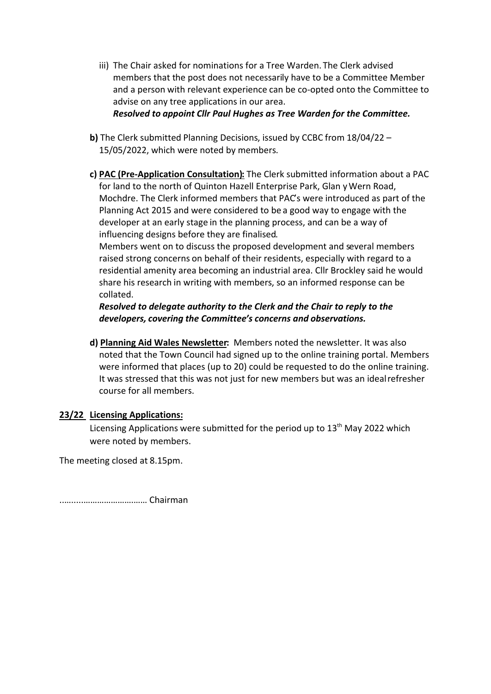- iii) The Chair asked for nominations for a Tree Warden. The Clerk advised members that the post does not necessarily have to be a Committee Member and a person with relevant experience can be co-opted onto the Committee to advise on any tree applications in our area. *Resolved to appoint Cllr Paul Hughes as Tree Warden for the Committee.*
- **b)** The Clerk submitted Planning Decisions, issued by CCBC from 18/04/22 15/05/2022, which were noted by members.
- **c) PAC (Pre-Application Consultation):** The Clerk submitted information about a PAC for land to the north of Quinton Hazell Enterprise Park, Glan y Wern Road, Mochdre. The Clerk informed members that PAC's were introduced as part of the Planning Act 2015 and were considered to be a good way to engage with the developer at an early stage in the planning process, and can be a way of influencing designs before they are finalised.

Members went on to discuss the proposed development and several members raised strong concerns on behalf of their residents, especially with regard to a residential amenity area becoming an industrial area. Cllr Brockley said he would share his research in writing with members, so an informed response can be collated.

*Resolved to delegate authority to the Clerk and the Chair to reply to the developers, covering the Committee's concerns and observations.*

**d) Planning Aid Wales Newsletter:** Members noted the newsletter. It was also noted that the Town Council had signed up to the online training portal. Members were informed that places (up to 20) could be requested to do the online training. It was stressed that this was not just for new members but was an ideal refresher course for all members.

## **23/22 Licensing Applications:**

Licensing Applications were submitted for the period up to 13<sup>th</sup> May 2022 which were noted by members.

The meeting closed at 8.15pm.

..….....………………….…… Chairman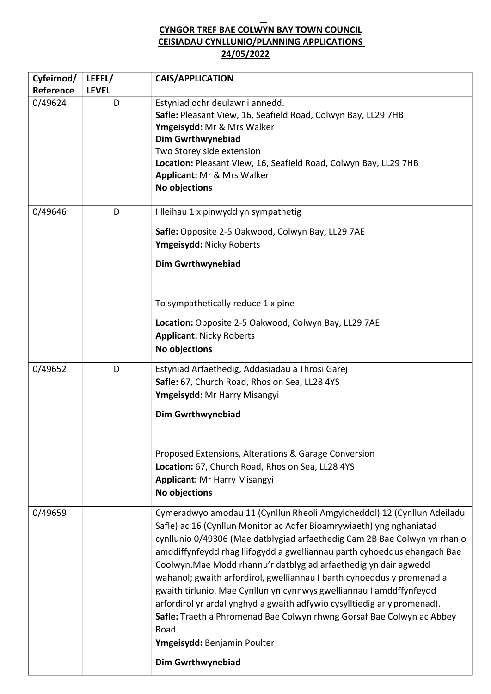# **CYNGOR TREF BAE COLWYN BAY TOWN COUNCIL CEISIADAU CYNLLUNIO/PLANNING APPLICATIONS 24/05/2022**

| Cyfeirnod/ | LEFEL/       | <b>CAIS/APPLICATION</b>                                                                                                                                                                                                                                                                                                                                                                                                                                                                                                                                                                                                                                                                                                   |
|------------|--------------|---------------------------------------------------------------------------------------------------------------------------------------------------------------------------------------------------------------------------------------------------------------------------------------------------------------------------------------------------------------------------------------------------------------------------------------------------------------------------------------------------------------------------------------------------------------------------------------------------------------------------------------------------------------------------------------------------------------------------|
| Reference  | <b>LEVEL</b> |                                                                                                                                                                                                                                                                                                                                                                                                                                                                                                                                                                                                                                                                                                                           |
| 0/49624    | D            | Estyniad ochr deulawr i annedd.<br>Safle: Pleasant View, 16, Seafield Road, Colwyn Bay, LL29 7HB<br>Ymgeisydd: Mr & Mrs Walker<br><b>Dim Gwrthwynebiad</b><br>Two Storey side extension<br>Location: Pleasant View, 16, Seafield Road, Colwyn Bay, LL29 7HB<br>Applicant: Mr & Mrs Walker<br>No objections                                                                                                                                                                                                                                                                                                                                                                                                                |
| 0/49646    | D            | I lleihau 1 x pinwydd yn sympathetig                                                                                                                                                                                                                                                                                                                                                                                                                                                                                                                                                                                                                                                                                      |
|            |              | Safle: Opposite 2-5 Oakwood, Colwyn Bay, LL29 7AE<br>Ymgeisydd: Nicky Roberts                                                                                                                                                                                                                                                                                                                                                                                                                                                                                                                                                                                                                                             |
|            |              | <b>Dim Gwrthwynebiad</b>                                                                                                                                                                                                                                                                                                                                                                                                                                                                                                                                                                                                                                                                                                  |
|            |              | To sympathetically reduce 1 x pine                                                                                                                                                                                                                                                                                                                                                                                                                                                                                                                                                                                                                                                                                        |
|            |              | Location: Opposite 2-5 Oakwood, Colwyn Bay, LL29 7AE<br><b>Applicant: Nicky Roberts</b><br>No objections                                                                                                                                                                                                                                                                                                                                                                                                                                                                                                                                                                                                                  |
|            |              |                                                                                                                                                                                                                                                                                                                                                                                                                                                                                                                                                                                                                                                                                                                           |
| 0/49652    | D            | Estyniad Arfaethedig, Addasiadau a Throsi Garej<br>Safle: 67, Church Road, Rhos on Sea, LL28 4YS<br>Ymgeisydd: Mr Harry Misangyi                                                                                                                                                                                                                                                                                                                                                                                                                                                                                                                                                                                          |
|            |              | <b>Dim Gwrthwynebiad</b>                                                                                                                                                                                                                                                                                                                                                                                                                                                                                                                                                                                                                                                                                                  |
|            |              | Proposed Extensions, Alterations & Garage Conversion<br>Location: 67, Church Road, Rhos on Sea, LL28 4YS<br><b>Applicant: Mr Harry Misangyi</b><br>No objections                                                                                                                                                                                                                                                                                                                                                                                                                                                                                                                                                          |
| 0/49659    |              | Cymeradwyo amodau 11 (Cynllun Rheoli Amgylcheddol) 12 (Cynllun Adeiladu<br>Safle) ac 16 (Cynllun Monitor ac Adfer Bioamrywiaeth) yng nghaniatad<br>cynllunio 0/49306 (Mae datblygiad arfaethedig Cam 2B Bae Colwyn yn rhan o<br>amddiffynfeydd rhag llifogydd a gwelliannau parth cyhoeddus ehangach Bae<br>Coolwyn. Mae Modd rhannu'r datblygiad arfaethedig yn dair agwedd<br>wahanol; gwaith arfordirol, gwelliannau I barth cyhoeddus y promenad a<br>gwaith tirlunio. Mae Cynllun yn cynnwys gwelliannau I amddffynfeydd<br>arfordirol yr ardal ynghyd a gwaith adfywio cysylltiedig ar y promenad).<br>Safle: Traeth a Phromenad Bae Colwyn rhwng Gorsaf Bae Colwyn ac Abbey<br>Road<br>Ymgeisydd: Benjamin Poulter |
|            |              | <b>Dim Gwrthwynebiad</b>                                                                                                                                                                                                                                                                                                                                                                                                                                                                                                                                                                                                                                                                                                  |